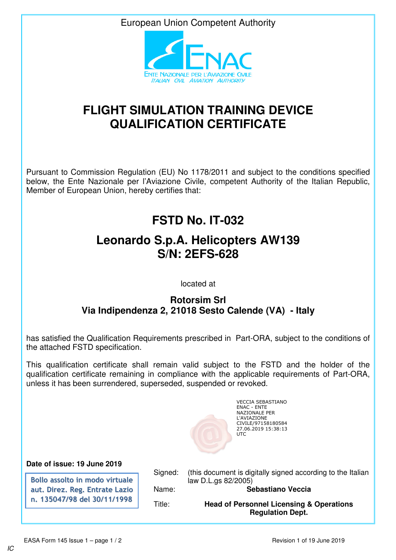European Union Competent Authority



## **FLIGHT SIMULATION TRAINING DEVICE QUALIFICATION CERTIFICATE**

Pursuant to Commission Regulation (EU) No 1178/2011 and subject to the conditions specified below, the Ente Nazionale per l'Aviazione Civile, competent Authority of the Italian Republic, Member of European Union, hereby certifies that:

## **FSTD No. IT-032**

## **Leonardo S.p.A. Helicopters AW139 S/N: 2EFS-628**

located at

## **Rotorsim Srl Via Indipendenza 2, 21018 Sesto Calende (VA) - Italy**

has satisfied the Qualification Requirements prescribed in Part-ORA, subject to the conditions of the attached FSTD specification.

This qualification certificate shall remain valid subject to the FSTD and the holder of the qualification certificate remaining in compliance with the applicable requirements of Part-ORA, unless it has been surrendered, superseded, suspended or revoked.



VECCIA SEBASTIANO ENAC - ENTE NAZIONALE PER L'AVIAZIONE CIVILE/97158180584 27.06.2019 15:38:13

**Date of issue: 19 June 2019**

**Bollo assolto in modo virtuale aut. Direz. Reg. Entrate Lazio n. 135047/98 del 30/11/1998**

Signed: (this document is digitally signed according to the Italian law D.L.gs 82/2005)

Name: **Sebastiano Veccia**

Title: **Head of Personnel Licensing & Operations Regulation Dept.**